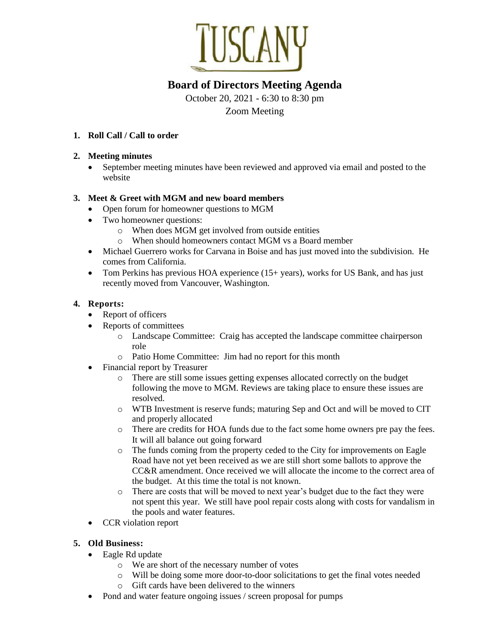

# **Board of Directors Meeting Agenda**

October 20, 2021 - 6:30 to 8:30 pm Zoom Meeting

### **1. Roll Call / Call to order**

#### **2. Meeting minutes**

• September meeting minutes have been reviewed and approved via email and posted to the website

### **3. Meet & Greet with MGM and new board members**

- Open forum for homeowner questions to MGM
- Two homeowner questions:
	- o When does MGM get involved from outside entities
	- o When should homeowners contact MGM vs a Board member
- Michael Guerrero works for Carvana in Boise and has just moved into the subdivision. He comes from California.
- Tom Perkins has previous HOA experience  $(15+)$  years), works for US Bank, and has just recently moved from Vancouver, Washington.

### **4. Reports:**

- Report of officers
- Reports of committees
	- o Landscape Committee: Craig has accepted the landscape committee chairperson role
	- o Patio Home Committee: Jim had no report for this month
- Financial report by Treasurer
	- o There are still some issues getting expenses allocated correctly on the budget following the move to MGM. Reviews are taking place to ensure these issues are resolved.
	- o WTB Investment is reserve funds; maturing Sep and Oct and will be moved to CIT and properly allocated
	- o There are credits for HOA funds due to the fact some home owners pre pay the fees. It will all balance out going forward
	- o The funds coming from the property ceded to the City for improvements on Eagle Road have not yet been received as we are still short some ballots to approve the CC&R amendment. Once received we will allocate the income to the correct area of the budget. At this time the total is not known.
	- o There are costs that will be moved to next year's budget due to the fact they were not spent this year. We still have pool repair costs along with costs for vandalism in the pools and water features.
- CCR violation report

### **5. Old Business:**

- Eagle Rd update
	- o We are short of the necessary number of votes
	- o Will be doing some more door-to-door solicitations to get the final votes needed
	- o Gift cards have been delivered to the winners
- Pond and water feature ongoing issues / screen proposal for pumps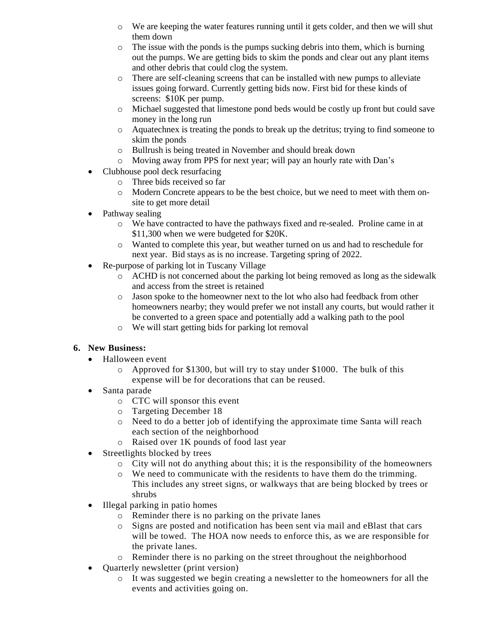- o We are keeping the water features running until it gets colder, and then we will shut them down
- $\circ$  The issue with the ponds is the pumps sucking debris into them, which is burning out the pumps. We are getting bids to skim the ponds and clear out any plant items and other debris that could clog the system.
- o There are self-cleaning screens that can be installed with new pumps to alleviate issues going forward. Currently getting bids now. First bid for these kinds of screens: \$10K per pump.
- o Michael suggested that limestone pond beds would be costly up front but could save money in the long run
- o Aquatechnex is treating the ponds to break up the detritus; trying to find someone to skim the ponds
- o Bullrush is being treated in November and should break down
- o Moving away from PPS for next year; will pay an hourly rate with Dan's
- Clubhouse pool deck resurfacing
	- o Three bids received so far
	- o Modern Concrete appears to be the best choice, but we need to meet with them onsite to get more detail
- Pathway sealing
	- o We have contracted to have the pathways fixed and re-sealed. Proline came in at \$11,300 when we were budgeted for \$20K.
	- o Wanted to complete this year, but weather turned on us and had to reschedule for next year. Bid stays as is no increase. Targeting spring of 2022.
- Re-purpose of parking lot in Tuscany Village
	- o ACHD is not concerned about the parking lot being removed as long as the sidewalk and access from the street is retained
	- o Jason spoke to the homeowner next to the lot who also had feedback from other homeowners nearby; they would prefer we not install any courts, but would rather it be converted to a green space and potentially add a walking path to the pool
	- o We will start getting bids for parking lot removal

## **6. New Business:**

- Halloween event
	- $\circ$  Approved for \$1300, but will try to stay under \$1000. The bulk of this expense will be for decorations that can be reused.
- Santa parade
	- o CTC will sponsor this event
	- o Targeting December 18
	- o Need to do a better job of identifying the approximate time Santa will reach each section of the neighborhood
	- o Raised over 1K pounds of food last year
- Streetlights blocked by trees
	- $\circ$  City will not do anything about this; it is the responsibility of the homeowners
	- o We need to communicate with the residents to have them do the trimming. This includes any street signs, or walkways that are being blocked by trees or shrubs
- Illegal parking in patio homes
	- o Reminder there is no parking on the private lanes
	- o Signs are posted and notification has been sent via mail and eBlast that cars will be towed. The HOA now needs to enforce this, as we are responsible for the private lanes.
	- o Reminder there is no parking on the street throughout the neighborhood
- Quarterly newsletter (print version)
	- o It was suggested we begin creating a newsletter to the homeowners for all the events and activities going on.